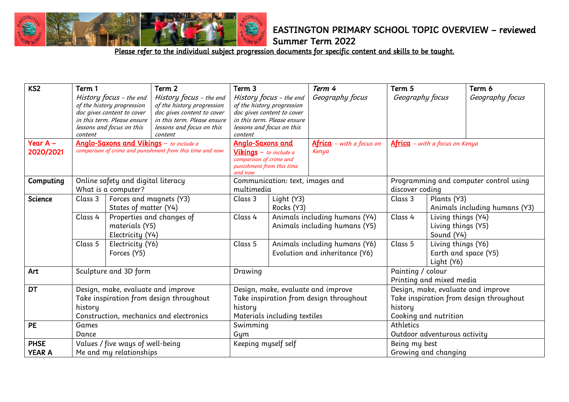

Summer Term 2022

| KS <sub>2</sub> | Term 1              |                                         | Term 2                                                    | Term 3                                            |                                 | Term 4                                  | Term 5                                |                               | Term 6                                  |
|-----------------|---------------------|-----------------------------------------|-----------------------------------------------------------|---------------------------------------------------|---------------------------------|-----------------------------------------|---------------------------------------|-------------------------------|-----------------------------------------|
|                 |                     | History focus - the end                 | History focus - the end                                   |                                                   | History focus - the end         | Geography focus                         | Geography focus                       |                               | Geography focus                         |
|                 |                     | of the history progression              | of the history progression                                | of the history progression                        |                                 |                                         |                                       |                               |                                         |
|                 |                     | doc gives content to cover              | doc gives content to cover                                |                                                   | doc gives content to cover      |                                         |                                       |                               |                                         |
|                 |                     | in this term. Please ensure             | in this term. Please ensure                               | in this term. Please ensure                       |                                 |                                         |                                       |                               |                                         |
|                 |                     | lessons and focus on this               | lessons and focus on this<br>content                      | lessons and focus on this                         |                                 |                                         |                                       |                               |                                         |
| Year $A -$      | content             |                                         | Anglo-Saxons and Vikings - to include a                   | content<br><b>Anglo-Saxons and</b>                |                                 |                                         | <b>Africa</b> - with a focus on Kenya |                               |                                         |
|                 |                     |                                         | comparison of crime and punishment from this time and now |                                                   |                                 | $A$ frica – with a focus on<br>Kenya    |                                       |                               |                                         |
| 2020/2021       |                     |                                         |                                                           | Vikings - to include a<br>comparison of crime and |                                 |                                         |                                       |                               |                                         |
|                 |                     |                                         |                                                           | punishment from this time                         |                                 |                                         |                                       |                               |                                         |
|                 |                     |                                         |                                                           | and now                                           |                                 |                                         |                                       |                               |                                         |
| Computing       |                     | Online safety and digital literacy      |                                                           |                                                   | Communication: text, images and |                                         |                                       |                               | Programming and computer control using  |
|                 | What is a computer? |                                         |                                                           | multimedia                                        |                                 |                                         | discover coding                       |                               |                                         |
| Science         | Class 3             | Forces and magnets (Y3)                 |                                                           | Class 3                                           | Light (Y3)                      |                                         | Class 3                               | Plants (Y3)                   |                                         |
|                 |                     | States of matter (Y4)                   |                                                           |                                                   | Rocks (Y3)                      |                                         |                                       | Animals including humans (Y3) |                                         |
|                 | Class 4             |                                         | Properties and changes of                                 | Class 4                                           |                                 | Animals including humans (Y4)           | Class 4                               | Living things (Y4)            |                                         |
|                 |                     | materials (Y5)                          |                                                           |                                                   |                                 | Animals including humans (Y5)           |                                       | Living things (Y5)            |                                         |
|                 |                     | Electricity (Y4)                        |                                                           |                                                   |                                 |                                         |                                       | Sound (Y4)                    |                                         |
|                 | Class 5             | Electricity (Y6)                        |                                                           | Class 5                                           |                                 | Animals including humans (Y6)           | Class 5                               | Living things (Y6)            |                                         |
|                 |                     | Forces (Y5)                             |                                                           |                                                   |                                 | Evolution and inheritance (Y6)          |                                       | Earth and space (Y5)          |                                         |
|                 |                     |                                         |                                                           |                                                   |                                 |                                         |                                       |                               |                                         |
|                 |                     |                                         |                                                           |                                                   |                                 |                                         |                                       | Light (Y6)                    |                                         |
| Art             |                     | Sculpture and 3D form                   |                                                           | Drawing                                           |                                 |                                         | Painting / colour                     |                               |                                         |
|                 |                     |                                         |                                                           |                                                   |                                 |                                         | Printing and mixed media              |                               |                                         |
| <b>DT</b>       |                     | Design, make, evaluate and improve      |                                                           |                                                   |                                 | Design, make, evaluate and improve      |                                       |                               | Design, make, evaluate and improve      |
|                 |                     | Take inspiration from design throughout |                                                           |                                                   |                                 | Take inspiration from design throughout |                                       |                               | Take inspiration from design throughout |
|                 | history             |                                         |                                                           | history                                           |                                 | history                                 |                                       |                               |                                         |
|                 |                     |                                         | Construction, mechanics and electronics                   |                                                   | Materials including textiles    |                                         |                                       | Cooking and nutrition         |                                         |
| PE              | Games               |                                         |                                                           | Swimming                                          |                                 |                                         | Athletics                             |                               |                                         |
|                 | Dance               |                                         |                                                           | Gum                                               |                                 |                                         |                                       | Outdoor adventurous activity  |                                         |
| <b>PHSE</b>     |                     | Values / five ways of well-being        |                                                           | Keeping myself self                               |                                 |                                         | Being my best                         |                               |                                         |
| <b>YEAR A</b>   |                     | Me and my relationships                 |                                                           |                                                   |                                 |                                         | Growing and changing                  |                               |                                         |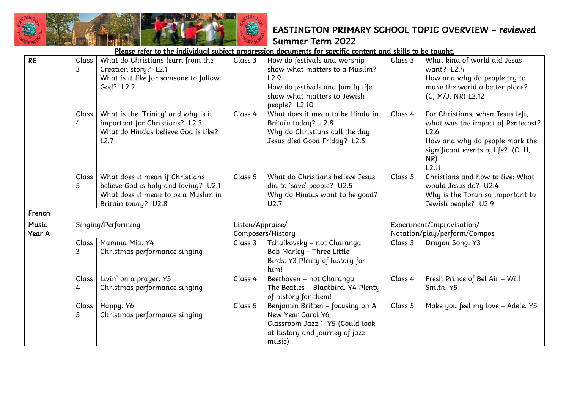|                        |            |                                                                                                                                       |                  | Please refer to the individual subject progression documents for specific content and skills to be taught.                                                 |         |                                                                                                                                                                       |
|------------------------|------------|---------------------------------------------------------------------------------------------------------------------------------------|------------------|------------------------------------------------------------------------------------------------------------------------------------------------------------|---------|-----------------------------------------------------------------------------------------------------------------------------------------------------------------------|
| <b>RE</b>              | Class<br>3 | What do Christians learn from the<br>Creation story? L2.1<br>What is it like for someone to follow<br>God? L2.2                       | Class 3          | How do festivals and worship<br>show what matters to a Muslim?<br>L2.9<br>How do festivals and family life<br>show what matters to Jewish<br>people? L2.10 | Class 3 | What kind of world did Jesus<br>want? L2.4<br>How and why do people try to<br>make the world a better place?<br>(C, M/J, NR) L2.12                                    |
|                        | Class<br>4 | What is the 'Trinity' and why is it<br>important for Christians? L2.3<br>What do Hindus believe God is like?<br>L2.7                  | Class 4          | What does it mean to be Hindu in<br>Britain today? L2.8<br>Why do Christians call the day<br>Jesus died Good Friday? L2.5                                  | Class 4 | For Christians, when Jesus left,<br>what was the impact of Pentecost?<br>L2.6<br>How and why do people mark the<br>significant events of life? (C, H,<br>NR)<br>L2.11 |
|                        | Class<br>5 | What does it mean if Christians<br>believe God is holy and loving? U2.1<br>What does it mean to be a Muslim in<br>Britain today? U2.8 | Class 5          | What do Christians believe Jesus<br>did to 'save' people? U2.5<br>Why do Hindus want to be good?<br>U2.7                                                   | Class 5 | Christians and how to live: What<br>would Jesus do? U2.4<br>Why is the Torah so important to<br>Jewish people? U2.9                                                   |
| French                 |            |                                                                                                                                       |                  |                                                                                                                                                            |         |                                                                                                                                                                       |
| <b>Music</b><br>Year A |            | Singing/Performing                                                                                                                    | Listen/Appraise/ | Composers/History                                                                                                                                          |         | Experiment/Improvisation/<br>Notation/play/perform/Compos                                                                                                             |
|                        | Class<br>3 | Mamma Mia. Y4<br>Christmas performance singing                                                                                        | Class 3          | Tchaikovsky - not Charanga<br>Bob Marley - Three Little<br>Birds. Y3 Plenty of history for<br>him!                                                         | Class 3 | Dragon Song. Y3                                                                                                                                                       |
|                        | Class<br>4 | Livin' on a prayer. Y5<br>Christmas performance singing                                                                               | Class 4          | Beethoven - not Charanga<br>The Beatles - Blackbird. Y4 Plenty<br>of history for them!                                                                     | Class 4 | Fresh Prince of Bel Air - Will<br>Smith. Y5                                                                                                                           |
|                        | Class<br>5 | Happy. Y6<br>Christmas performance singing                                                                                            | Class 5          | Benjamin Britten - focusing on A<br>New Year Carol Y6<br>Classroom Jazz 1. Y5 (Could look<br>at history and journey of jazz<br>music)                      | Class 5 | Make you feel my love - Adele. Y5                                                                                                                                     |

藤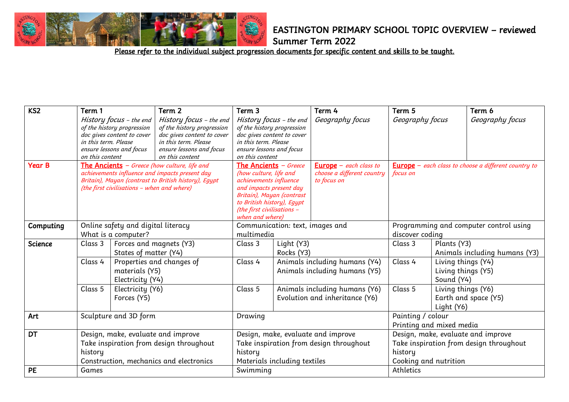

Summer Term 2022

| KS <sub>2</sub> | Term 1<br>in this term. Please<br>on this content                                                                                                                                                             | History focus - the end<br>of the history progression<br>doc gives content to cover<br>ensure lessons and focus | Term 2<br>History focus - the end<br>of the history progression<br>doc gives content to cover<br>in this term. Please<br>ensure lessons and focus<br>on this content                                                           | Term 3<br>History focus - the end<br>of the history progression<br>doc gives content to cover<br>in this term. Please<br>ensure lessons and focus<br>on this content |                                                                              | Term 4<br>Geography focus                                      | Term 5<br>Geography focus        |                                                               | Term 6<br>Geography focus                                                     |
|-----------------|---------------------------------------------------------------------------------------------------------------------------------------------------------------------------------------------------------------|-----------------------------------------------------------------------------------------------------------------|--------------------------------------------------------------------------------------------------------------------------------------------------------------------------------------------------------------------------------|----------------------------------------------------------------------------------------------------------------------------------------------------------------------|------------------------------------------------------------------------------|----------------------------------------------------------------|----------------------------------|---------------------------------------------------------------|-------------------------------------------------------------------------------|
| <b>Year B</b>   | <b>The Ancients</b> $-$ Greece (how culture, life and<br>achievements influence and impacts present day<br>Britain), Mayan (contrast to British history), Egypt<br>(the first civilisations - when and where) |                                                                                                                 | <b>The Ancients</b> <i>– Greece</i><br>(how culture, life and<br>achievements influence<br>and impacts present day<br>Britain), Mayan (contrast<br>to British history), Egypt<br>(the first civilisations -<br>when and where) |                                                                                                                                                                      | <b>Europe</b> $-$ each class to<br>choose a different country<br>to focus on | focus on                                                       |                                  | <b>Europe</b> $-$ each class to choose a different country to |                                                                               |
| Computing       | Online safety and digital literacy<br>What is a computer?                                                                                                                                                     |                                                                                                                 | Communication: text, images and<br>multimedia                                                                                                                                                                                  |                                                                                                                                                                      |                                                                              | Programming and computer control using<br>discover coding      |                                  |                                                               |                                                                               |
| Science         | Class 3                                                                                                                                                                                                       | Forces and magnets (Y3)<br>States of matter (Y4)                                                                |                                                                                                                                                                                                                                | Class 3                                                                                                                                                              | Light (Y3)<br>Rocks (Y3)                                                     |                                                                | Class 3                          | Plants (Y3)                                                   | Animals including humans (Y3)                                                 |
|                 | Class 4                                                                                                                                                                                                       | materials (Y5)<br>Electricity (Y4)                                                                              | Properties and changes of                                                                                                                                                                                                      | Class 4                                                                                                                                                              |                                                                              | Animals including humans (Y4)<br>Animals including humans (Y5) | Class 4                          | Living things (Y4)<br>Living things (Y5)<br>Sound (Y4)        |                                                                               |
|                 | Class 5                                                                                                                                                                                                       | Electricity (Y6)<br>Forces (Y5)                                                                                 |                                                                                                                                                                                                                                | Class 5                                                                                                                                                              | Animals including humans (Y6)<br>Evolution and inheritance (Y6)              |                                                                | Class 5                          | Living things (Y6)<br>Light (Y6)                              | Earth and space (Y5)                                                          |
| Art             | Sculpture and 3D form                                                                                                                                                                                         |                                                                                                                 | Drawing                                                                                                                                                                                                                        |                                                                                                                                                                      |                                                                              | Painting / colour<br>Printing and mixed media                  |                                  |                                                               |                                                                               |
| <b>DT</b>       | history                                                                                                                                                                                                       |                                                                                                                 | Design, make, evaluate and improve<br>Take inspiration from design throughout<br>Construction, mechanics and electronics                                                                                                       | Design, make, evaluate and improve<br>Take inspiration from design throughout<br>history<br>Materials including textiles                                             |                                                                              |                                                                | history<br>Cooking and nutrition |                                                               | Design, make, evaluate and improve<br>Take inspiration from design throughout |
| PE              | Games                                                                                                                                                                                                         |                                                                                                                 |                                                                                                                                                                                                                                | Swimming                                                                                                                                                             |                                                                              |                                                                | Athletics                        |                                                               |                                                                               |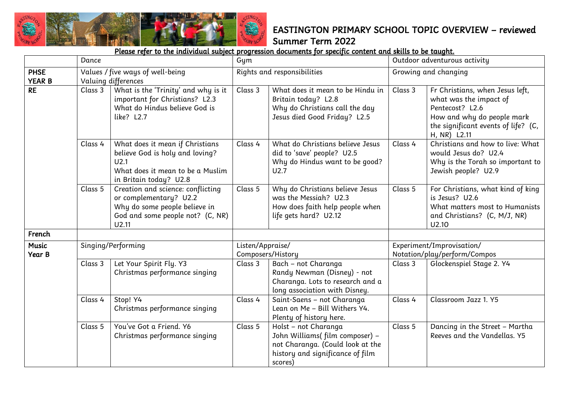

|                              | Dance                                                                                                                                                |                                                                                                                                          | Gym              |                                                                                                                                           |                                                           | Outdoor adventurous activity                                                                                                                                      |  |  |
|------------------------------|------------------------------------------------------------------------------------------------------------------------------------------------------|------------------------------------------------------------------------------------------------------------------------------------------|------------------|-------------------------------------------------------------------------------------------------------------------------------------------|-----------------------------------------------------------|-------------------------------------------------------------------------------------------------------------------------------------------------------------------|--|--|
| <b>PHSE</b><br><b>YEAR B</b> |                                                                                                                                                      | Values / five ways of well-being<br>Valuing differences                                                                                  |                  | Rights and responsibilities                                                                                                               |                                                           | Growing and changing                                                                                                                                              |  |  |
| <b>RE</b>                    | Class 3                                                                                                                                              | What is the 'Trinity' and why is it<br>important for Christians? L2.3<br>What do Hindus believe God is<br>like? L2.7                     | Class 3          | What does it mean to be Hindu in<br>Britain today? L2.8<br>Why do Christians call the day<br>Jesus died Good Friday? L2.5                 | Class 3                                                   | Fr Christians, when Jesus left,<br>what was the impact of<br>Pentecost? L2.6<br>How and why do people mark<br>the significant events of life? (C,<br>H, NR) L2.11 |  |  |
|                              | Class 4                                                                                                                                              | What does it mean if Christians<br>believe God is holy and loving?<br>U2.1<br>What does it mean to be a Muslim<br>in Britain today? U2.8 |                  | What do Christians believe Jesus<br>did to 'save' people? U2.5<br>Why do Hindus want to be good?<br>U2.7                                  | Class 4                                                   | Christians and how to live: What<br>would Jesus do? U2.4<br>Why is the Torah so important to<br>Jewish people? U2.9                                               |  |  |
|                              | Class 5<br>Creation and science: conflicting<br>or complementary? U2.2<br>Why do some people believe in<br>God and some people not? (C, NR)<br>U2.11 |                                                                                                                                          | Class 5          | Why do Christians believe Jesus<br>was the Messiah? U2.3<br>How does faith help people when<br>life gets hard? U2.12                      | Class 5                                                   | For Christians, what kind of king<br>is Jesus? U2.6<br>What matters most to Humanists<br>and Christians? (C, M/J, NR)<br>U2.10                                    |  |  |
| French                       |                                                                                                                                                      |                                                                                                                                          |                  |                                                                                                                                           |                                                           |                                                                                                                                                                   |  |  |
| <b>Music</b><br>Year B       |                                                                                                                                                      | Singing/Performing                                                                                                                       | Listen/Appraise/ | Composers/History                                                                                                                         | Experiment/Improvisation/<br>Notation/play/perform/Compos |                                                                                                                                                                   |  |  |
|                              | Class 3                                                                                                                                              | Let Your Spirit Fly. Y3<br>Christmas performance singing                                                                                 | Class 3          | Bach - not Charanga<br>Randy Newman (Disney) - not<br>Charanga. Lots to research and a<br>long association with Disney.                   | Class 3                                                   | Glockenspiel Stage 2. Y4                                                                                                                                          |  |  |
|                              | Class 4<br>Stop! Y4<br>Christmas performance singing                                                                                                 |                                                                                                                                          | Class 4          | Saint-Saens - not Charanga<br>Lean on Me - Bill Withers Y4.<br>Plenty of history here.                                                    | Class 4                                                   | Classroom Jazz 1. Y5                                                                                                                                              |  |  |
|                              | Class 5                                                                                                                                              | You've Got a Friend. Y6<br>Christmas performance singing                                                                                 | Class 5          | Holst - not Charanga<br>John Williams(film composer) -<br>not Charanga. (Could look at the<br>history and significance of film<br>scores) | Class 5                                                   | Dancing in the Street - Martha<br>Reeves and the Vandellas. Y5                                                                                                    |  |  |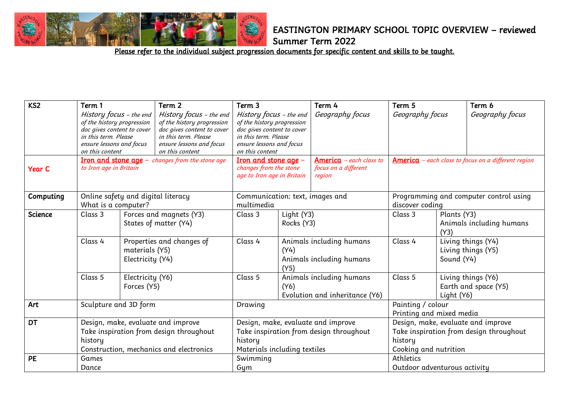

Summer Term 2022

| K <sub>S2</sub> | Term 1<br>History focus - the end<br>of the history progression<br>doc gives content to cover<br>in this term. Please<br>ensure lessons and focus<br>on this content |                                    | Term 2<br>History focus - the end<br>of the history progression<br>doc gives content to cover<br>in this term. Please<br>ensure lessons and focus<br>on this content<br><b>Iron and stone age</b> - changes from the stone age | Term 3<br>Term 4<br>History focus - the end<br>Geography focus<br>of the history progression<br>doc gives content to cover<br>in this term. Please<br>ensure lessons and focus<br>on this content<br>Iron and stone age -<br>America - each class to |                                                                                                                                                                                              | Term 5<br>Term 6<br>Geography focus<br><b>America</b> - each class to focus on a different region |                                                           | Geography focus                                                               |                                            |
|-----------------|----------------------------------------------------------------------------------------------------------------------------------------------------------------------|------------------------------------|--------------------------------------------------------------------------------------------------------------------------------------------------------------------------------------------------------------------------------|------------------------------------------------------------------------------------------------------------------------------------------------------------------------------------------------------------------------------------------------------|----------------------------------------------------------------------------------------------------------------------------------------------------------------------------------------------|---------------------------------------------------------------------------------------------------|-----------------------------------------------------------|-------------------------------------------------------------------------------|--------------------------------------------|
| <b>Year C</b>   | to Iron age in Britain                                                                                                                                               |                                    |                                                                                                                                                                                                                                | changes from the stone<br>focus on a different<br>age to Iron age in Britain<br>region                                                                                                                                                               |                                                                                                                                                                                              |                                                                                                   |                                                           |                                                                               |                                            |
| Computing       | Online safety and digital literacy<br>What is a computer?<br>multimedia                                                                                              |                                    | Communication: text, images and                                                                                                                                                                                                |                                                                                                                                                                                                                                                      |                                                                                                                                                                                              |                                                                                                   | Programming and computer control using<br>discover coding |                                                                               |                                            |
| <b>Science</b>  | Class 3                                                                                                                                                              |                                    | Forces and magnets (Y3)<br>States of matter (Y4)                                                                                                                                                                               | Class 3                                                                                                                                                                                                                                              | Light (Y3)<br>Rocks (Y3)<br>Class 4<br>Animals including humans<br>(Y4)<br>Animals including humans<br>(Y5)<br>Class 5<br>Animals including humans<br>(Y6)<br>Evolution and inheritance (Y6) |                                                                                                   | Class 3                                                   | Plants (Y3)<br>(Y3)                                                           | Animals including humans                   |
|                 | Class 4                                                                                                                                                              | materials (Y5)<br>Electricity (Y4) | Properties and changes of                                                                                                                                                                                                      |                                                                                                                                                                                                                                                      |                                                                                                                                                                                              |                                                                                                   | Class 4                                                   | Sound (Y4)                                                                    | Living things (Y4)<br>Living things (Y5)   |
|                 | Class 5                                                                                                                                                              | Electricity (Y6)<br>Forces (Y5)    |                                                                                                                                                                                                                                |                                                                                                                                                                                                                                                      |                                                                                                                                                                                              |                                                                                                   | Class 5                                                   | Light (Y6)                                                                    | Living things (Y6)<br>Earth and space (Y5) |
| Art             | Sculpture and 3D form                                                                                                                                                |                                    |                                                                                                                                                                                                                                | Drawing                                                                                                                                                                                                                                              |                                                                                                                                                                                              |                                                                                                   | Painting / colour<br>Printing and mixed media             |                                                                               |                                            |
| <b>DT</b>       | history                                                                                                                                                              |                                    | Design, make, evaluate and improve<br>Take inspiration from design throughout<br>Construction, mechanics and electronics                                                                                                       | Design, make, evaluate and improve<br>Take inspiration from design throughout<br>history<br>Materials including textiles                                                                                                                             |                                                                                                                                                                                              | history<br>Cooking and nutrition                                                                  |                                                           | Design, make, evaluate and improve<br>Take inspiration from design throughout |                                            |
| PE              | Games<br>Dance                                                                                                                                                       |                                    |                                                                                                                                                                                                                                | Swimming<br>Gym                                                                                                                                                                                                                                      |                                                                                                                                                                                              |                                                                                                   | Athletics<br>Outdoor adventurous activity                 |                                                                               |                                            |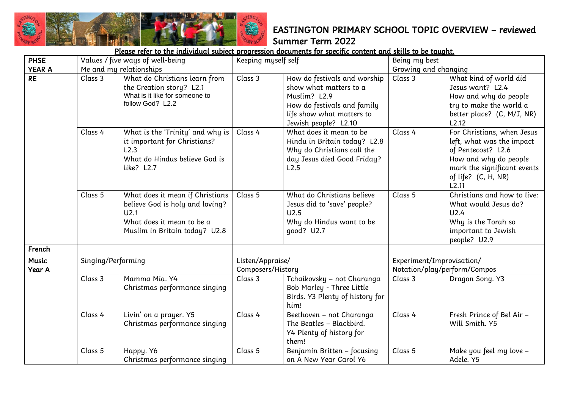

| <b>PHSE</b>            |                    | Values / five ways of well-being                                                                                                         | Keeping myself self                   |                                                                                                                                                            | Being my best                                             |                                                                                                                                                                       |  |  |
|------------------------|--------------------|------------------------------------------------------------------------------------------------------------------------------------------|---------------------------------------|------------------------------------------------------------------------------------------------------------------------------------------------------------|-----------------------------------------------------------|-----------------------------------------------------------------------------------------------------------------------------------------------------------------------|--|--|
| <b>YEAR A</b>          |                    | Me and my relationships                                                                                                                  |                                       |                                                                                                                                                            | Growing and changing                                      |                                                                                                                                                                       |  |  |
| <b>RE</b>              | Class 3            | What do Christians learn from<br>the Creation story? L2.1<br>What is it like for someone to<br>follow God? L2.2                          | Class 3                               | How do festivals and worship<br>show what matters to a<br>Muslim? L2.9<br>How do festivals and family<br>life show what matters to<br>Jewish people? L2.10 | Class 3                                                   | What kind of world did<br>Jesus want? L2.4<br>How and why do people<br>try to make the world a<br>better place? (C, M/J, NR)<br>L2.12                                 |  |  |
|                        | Class 4            | What is the 'Trinity' and why is<br>it important for Christians?<br>L2.3<br>What do Hindus believe God is<br>like? L2.7                  | Class 4                               | What does it mean to be<br>Hindu in Britain today? L2.8<br>Why do Christians call the<br>day Jesus died Good Friday?<br>L2.5                               | Class 4                                                   | For Christians, when Jesus<br>left, what was the impact<br>of Pentecost? L2.6<br>How and why do people<br>mark the significant events<br>of life? (C, H, NR)<br>L2.11 |  |  |
|                        | Class 5            | What does it mean if Christians<br>believe God is holy and loving?<br>U2.1<br>What does it mean to be a<br>Muslim in Britain today? U2.8 | Class 5                               | What do Christians believe<br>Jesus did to 'save' people?<br>U2.5<br>Why do Hindus want to be<br>good? U2.7                                                | Class 5                                                   | Christians and how to live:<br>What would Jesus do?<br>U2.4<br>Why is the Torah so<br>important to Jewish<br>people? U2.9                                             |  |  |
| French                 |                    |                                                                                                                                          |                                       |                                                                                                                                                            |                                                           |                                                                                                                                                                       |  |  |
| <b>Music</b><br>Year A | Singing/Performing |                                                                                                                                          | Listen/Appraise/<br>Composers/History |                                                                                                                                                            | Experiment/Improvisation/<br>Notation/play/perform/Compos |                                                                                                                                                                       |  |  |
|                        | Class 3            | Mamma Mia. Y4<br>Christmas performance singing                                                                                           | Class 3                               | Tchaikovsky - not Charanga<br>Bob Marley - Three Little<br>Birds. Y3 Plenty of history for<br>him!                                                         | Class 3                                                   | Dragon Song. Y3                                                                                                                                                       |  |  |
|                        | Class 4            | Livin' on a prayer. Y5<br>Christmas performance singing                                                                                  | Class 4                               | Beethoven - not Charanga<br>The Beatles - Blackbird.<br>Y4 Plenty of history for<br>them!                                                                  | Class 4                                                   | Fresh Prince of Bel Air -<br>Will Smith. Y5                                                                                                                           |  |  |
|                        | Class 5            | Happy. Y6<br>Christmas performance singing                                                                                               | Class 5                               | Benjamin Britten - focusing<br>on A New Year Carol Y6                                                                                                      | Class 5                                                   | Make you feel my love -<br>Adele. Y5                                                                                                                                  |  |  |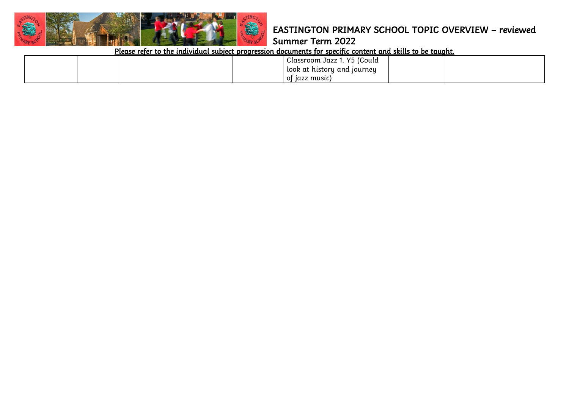

## Summer Term 2022

| <sup>I</sup> Classroom Jazz 1. Y5 (Could |  |
|------------------------------------------|--|
| look at history and journey              |  |
| of jazz music)                           |  |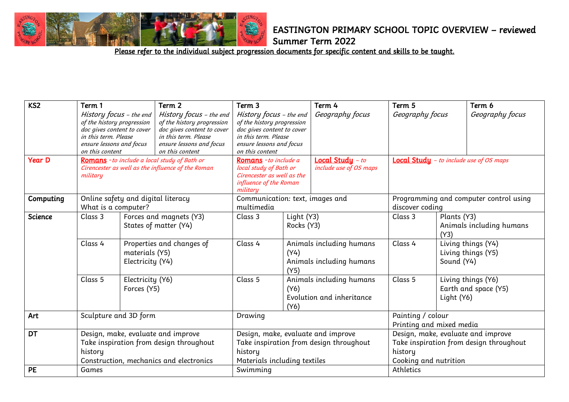

Summer Term 2022

| KS <sub>2</sub> | Term 1<br>History focus - the end<br>of the history progression<br>doc gives content to cover<br>in this term. Please<br>ensure lessons and focus<br>on this content |                                    | Term 2<br>History focus - the end<br>of the history progression<br>doc gives content to cover<br>in this term. Please<br>ensure lessons and focus<br>on this content | Term 3<br>History focus - the end<br>of the history progression<br>doc gives content to cover<br>in this term. Please<br>ensure lessons and focus<br>on this content |                                                                       | Term 4<br>Geography focus                                                                                         | Term 5<br>Geography focus                                 |                                                 | Term 6<br>Geography focus                  |
|-----------------|----------------------------------------------------------------------------------------------------------------------------------------------------------------------|------------------------------------|----------------------------------------------------------------------------------------------------------------------------------------------------------------------|----------------------------------------------------------------------------------------------------------------------------------------------------------------------|-----------------------------------------------------------------------|-------------------------------------------------------------------------------------------------------------------|-----------------------------------------------------------|-------------------------------------------------|--------------------------------------------|
| <b>Year D</b>   | Romans - to include a local study of Bath or<br>Cirencester as well as the influence of the Roman<br>military                                                        |                                    | Romans - to include a<br>local study of Bath or<br>Cirencester as well as the<br>influence of the Roman<br>military                                                  |                                                                                                                                                                      | <b>Local Study</b> $-$ to<br>include use of OS maps                   |                                                                                                                   |                                                           | <b>Local Study</b> - to include use of OS maps  |                                            |
| Computing       | Online safety and digital literacy<br>What is a computer?                                                                                                            |                                    | Communication: text, images and<br>multimedia                                                                                                                        |                                                                                                                                                                      |                                                                       |                                                                                                                   | Programming and computer control using<br>discover coding |                                                 |                                            |
| <b>Science</b>  | Class 3                                                                                                                                                              |                                    | Forces and magnets (Y3)<br>States of matter (Y4)                                                                                                                     | Class 3                                                                                                                                                              | Light (Y3)<br>Rocks (Y3)                                              |                                                                                                                   | Class 3                                                   | Plants (Y3)<br>Animals including humans<br>(Y3) |                                            |
|                 | Class 4                                                                                                                                                              | materials (Y5)<br>Electricity (Y4) | Properties and changes of                                                                                                                                            | Class 4                                                                                                                                                              | Animals including humans<br>(Y4)<br>Animals including humans<br>(Y5)  |                                                                                                                   | Class 4                                                   | Sound (Y4)                                      | Living things (Y4)<br>Living things (Y5)   |
|                 | Class 5                                                                                                                                                              | Electricity (Y6)<br>Forces (Y5)    |                                                                                                                                                                      | Class 5                                                                                                                                                              | Animals including humans<br>(Y6)<br>Evolution and inheritance<br>(Y6) |                                                                                                                   | Class 5                                                   | Light (Y6)                                      | Living things (Y6)<br>Earth and space (Y5) |
| Art             | Sculpture and 3D form                                                                                                                                                |                                    |                                                                                                                                                                      | Drawing                                                                                                                                                              |                                                                       | Painting / colour<br>Printing and mixed media                                                                     |                                                           |                                                 |                                            |
| <b>DT</b>       | history                                                                                                                                                              |                                    | Design, make, evaluate and improve<br>Take inspiration from design throughout<br>Construction, mechanics and electronics                                             | Design, make, evaluate and improve<br>Take inspiration from design throughout<br>history<br>Materials including textiles                                             |                                                                       | Design, make, evaluate and improve<br>Take inspiration from design throughout<br>history<br>Cooking and nutrition |                                                           |                                                 |                                            |
| PE              | Games                                                                                                                                                                |                                    |                                                                                                                                                                      | Swimming                                                                                                                                                             |                                                                       |                                                                                                                   | Athletics                                                 |                                                 |                                            |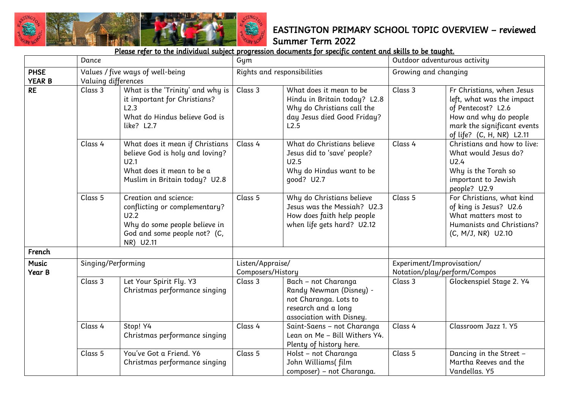

|                              | Dance               |                                                                                                                                              | Gym                                   |                                                                                                                              |                                                           | Outdoor adventurous activity                                                                                                                                      |  |
|------------------------------|---------------------|----------------------------------------------------------------------------------------------------------------------------------------------|---------------------------------------|------------------------------------------------------------------------------------------------------------------------------|-----------------------------------------------------------|-------------------------------------------------------------------------------------------------------------------------------------------------------------------|--|
| <b>PHSE</b><br><b>YEAR B</b> | Valuing differences | Values / five ways of well-being                                                                                                             | Rights and responsibilities           |                                                                                                                              | Growing and changing                                      |                                                                                                                                                                   |  |
| <b>RE</b>                    | Class 3             | What is the 'Trinity' and why is<br>it important for Christians?<br>L2.3<br>What do Hindus believe God is<br>like? L2.7                      | Class 3                               | What does it mean to be<br>Hindu in Britain today? L2.8<br>Why do Christians call the<br>day Jesus died Good Friday?<br>L2.5 | Class 3                                                   | Fr Christians, when Jesus<br>left, what was the impact<br>of Pentecost? L2.6<br>How and why do people<br>mark the significant events<br>of life? (C, H, NR) L2.11 |  |
|                              | Class 4             | What does it mean if Christians<br>believe God is holy and loving?<br>U2.1<br>What does it mean to be a<br>Muslim in Britain today? U2.8     | Class 4                               | What do Christians believe<br>Jesus did to 'save' people?<br>U2.5<br>Why do Hindus want to be<br>good? U2.7                  | Class 4                                                   | Christians and how to live:<br>What would Jesus do?<br>U2.4<br>Why is the Torah so<br>important to Jewish<br>people? U2.9                                         |  |
|                              | Class 5             | Creation and science:<br>conflicting or complementary?<br>U2.2<br>Why do some people believe in<br>God and some people not? (C,<br>NR) U2.11 | Class 5                               | Why do Christians believe<br>Jesus was the Messiah? U2.3<br>How does faith help people<br>when life gets hard? U2.12         | Class 5                                                   | For Christians, what kind<br>of king is Jesus? U2.6<br>What matters most to<br>Humanists and Christians?<br>(C, M/J, NR) U2.10                                    |  |
| French                       |                     |                                                                                                                                              |                                       |                                                                                                                              |                                                           |                                                                                                                                                                   |  |
| <b>Music</b><br>Year B       | Singing/Performing  |                                                                                                                                              | Listen/Appraise/<br>Composers/History |                                                                                                                              | Experiment/Improvisation/<br>Notation/play/perform/Compos |                                                                                                                                                                   |  |
|                              | Class 3             | Let Your Spirit Fly. Y3<br>Christmas performance singing                                                                                     | Class 3                               | Bach - not Charanga<br>Randy Newman (Disney) -<br>not Charanga. Lots to<br>research and a long<br>association with Disney.   | Class 3                                                   | Glockenspiel Stage 2. Y4                                                                                                                                          |  |
|                              | Class 4             | Stop! Y4<br>Christmas performance singing                                                                                                    | Class 4                               | Saint-Saens - not Charanga<br>Lean on Me - Bill Withers Y4.<br>Plenty of history here.                                       | Class 4                                                   | Classroom Jazz 1. Y5                                                                                                                                              |  |
|                              | Class 5             | You've Got a Friend. Y6<br>Christmas performance singing                                                                                     | Class 5                               | Holst - not Charanga<br>John Williams(film<br>composer) - not Charanga.                                                      | Class 5                                                   | Dancing in the Street -<br>Martha Reeves and the<br>Vandellas. Y5                                                                                                 |  |